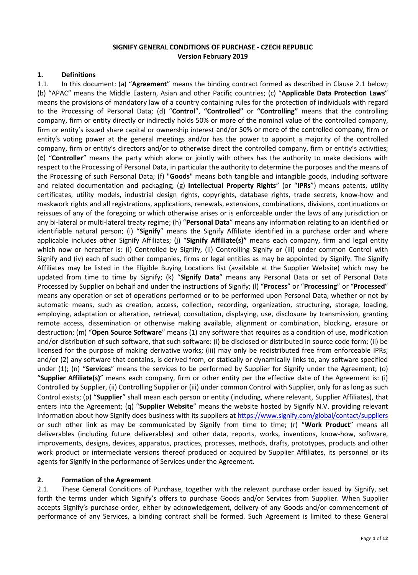### **SIGNIFY GENERAL CONDITIONS OF PURCHASE - CZECH REPUBLIC Version February 2019**

#### **1. Definitions**

1.1. In this document: (a) "**Agreement**" means the binding contract formed as described in Clause 2.1 below; (b) "APAC" means the Middle Eastern, Asian and other Pacific countries; (c) "**Applicable Data Protection Laws**" means the provisions of mandatory law of a country containing rules for the protection of individuals with regard to the Processing of Personal Data; (d) "**Control**", **"Controlled"** or **"Controlling"** means that the controlling company, firm or entity directly or indirectly holds 50% or more of the nominal value of the controlled company, firm or entity's issued share capital or ownership interest and/or 50% or more of the controlled company, firm or entity's voting power at the general meetings and/or has the power to appoint a majority of the controlled company, firm or entity's directors and/or to otherwise direct the controlled company, firm or entity's activities; (e) "**Controller**" means the party which alone or jointly with others has the authority to make decisions with respect to the Processing of Personal Data, in particular the authority to determine the purposes and the means of the Processing of such Personal Data; (f) "**Goods**" means both tangible and intangible goods, including software and related documentation and packaging; (g) **Intellectual Property Rights**" (or "**IPRs**") means patents, utility certificates, utility models, industrial design rights, copyrights, database rights, trade secrets, know-how and maskwork rights and all registrations, applications, renewals, extensions, combinations, divisions, continuations or reissues of any of the foregoing or which otherwise arises or is enforceable under the laws of any jurisdiction or any bi-lateral or multi-lateral treaty regime; (h) "**Personal Data**" means any information relating to an identified or identifiable natural person; (i) "**Signify**" means the Signify Affiliate identified in a purchase order and where applicable includes other Signify Affiliates; (j) "**Signify Affiliate(s)"** means each company, firm and legal entity which now or hereafter is: (i) Controlled by Signify, (ii) Controlling Signify or (iii) under common Control with Signify and (iv) each of such other companies, firms or legal entities as may be appointed by Signify. The Signify Affiliates may be listed in the Eligible Buying Locations list (available at the Supplier Website) which may be updated from time to time by Signify; (k) "**Signify Data**" means any Personal Data or set of Personal Data Processed by Supplier on behalf and under the instructions of Signify; (l) "**Process**" or "**Processing**" or "**Processed**" means any operation or set of operations performed or to be performed upon Personal Data, whether or not by automatic means, such as creation, access, collection, recording, organization, structuring, storage, loading, employing, adaptation or alteration, retrieval, consultation, displaying, use, disclosure by transmission, granting remote access, dissemination or otherwise making available, alignment or combination, blocking, erasure or destruction; (m) "**Open Source Software**" means (1) any software that requires as a condition of use, modification and/or distribution of such software, that such software: (i) be disclosed or distributed in source code form; (ii) be licensed for the purpose of making derivative works; (iii) may only be redistributed free from enforceable IPRs; and/or (2) any software that contains, is derived from, or statically or dynamically links to, any software specified under (1); (n) "**Services**" means the services to be performed by Supplier for Signify under the Agreement; (o) "**Supplier Affiliate(s)**" means each company, firm or other entity per the effective date of the Agreement is: (i) Controlled by Supplier, (ii) Controlling Supplier or (iii) under common Control with Supplier, only for as long as such Control exists; (p) "**Supplier**" shall mean each person or entity (including, where relevant, Supplier Affiliates), that enters into the Agreement; (q) "**Supplier Website**" means the website hosted by Signify N.V. providing relevant information about how Signify does business with its suppliers at<https://www.signify.com/global/contact/suppliers> [or](http://www.lighting.philips.com/main/company/about/suppliers/working-with-philips/eligible-buying-locations) such other link as may be communicated by Signify from time to time; (r) "**Work Product**" means all deliverables (including future deliverables) and other data, reports, works, inventions, know-how, software, improvements, designs, devices, apparatus, practices, processes, methods, drafts, prototypes, products and other work product or intermediate versions thereof produced or acquired by Supplier Affiliates, its personnel or its agents for Signify in the performance of Services under the Agreement.

#### **2. Formation of the Agreement**

2.1. These General Conditions of Purchase, together with the relevant purchase order issued by Signify, set forth the terms under which Signify's offers to purchase Goods and/or Services from Supplier. When Supplier accepts Signify's purchase order, either by acknowledgement, delivery of any Goods and/or commencement of performance of any Services, a binding contract shall be formed. Such Agreement is limited to these General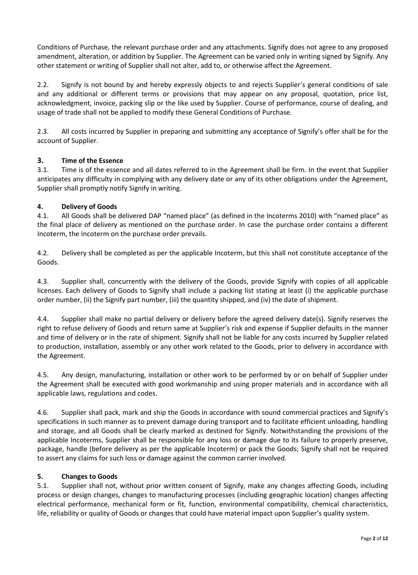Conditions of Purchase, the relevant purchase order and any attachments. Signify does not agree to any proposed amendment, alteration, or addition by Supplier. The Agreement can be varied only in writing signed by Signify. Any other statement or writing of Supplier shall not alter, add to, or otherwise affect the Agreement.

2.2. Signify is not bound by and hereby expressly objects to and rejects Supplier's general conditions of sale and any additional or different terms or provisions that may appear on any proposal, quotation, price list, acknowledgment, invoice, packing slip or the like used by Supplier. Course of performance, course of dealing, and usage of trade shall not be applied to modify these General Conditions of Purchase.

2.3. All costs incurred by Supplier in preparing and submitting any acceptance of Signify's offer shall be for the account of Supplier.

## **3. Time of the Essence**

3.1. Time is of the essence and all dates referred to in the Agreement shall be firm. In the event that Supplier anticipates any difficulty in complying with any delivery date or any of its other obligations under the Agreement, Supplier shall promptly notify Signify in writing.

### **4. Delivery of Goods**

4.1. All Goods shall be delivered DAP "named place" (as defined in the Incoterms 2010) with "named place" as the final place of delivery as mentioned on the purchase order. In case the purchase order contains a different Incoterm, the Incoterm on the purchase order prevails.

4.2. Delivery shall be completed as per the applicable Incoterm, but this shall not constitute acceptance of the Goods.

4.3. Supplier shall, concurrently with the delivery of the Goods, provide Signify with copies of all applicable licenses. Each delivery of Goods to Signify shall include a packing list stating at least (i) the applicable purchase order number, (ii) the Signify part number, (iii) the quantity shipped, and (iv) the date of shipment.

4.4. Supplier shall make no partial delivery or delivery before the agreed delivery date(s). Signify reserves the right to refuse delivery of Goods and return same at Supplier's risk and expense if Supplier defaults in the manner and time of delivery or in the rate of shipment. Signify shall not be liable for any costs incurred by Supplier related to production, installation, assembly or any other work related to the Goods, prior to delivery in accordance with the Agreement.

4.5. Any design, manufacturing, installation or other work to be performed by or on behalf of Supplier under the Agreement shall be executed with good workmanship and using proper materials and in accordance with all applicable laws, regulations and codes.

4.6. Supplier shall pack, mark and ship the Goods in accordance with sound commercial practices and Signify's specifications in such manner as to prevent damage during transport and to facilitate efficient unloading, handling and storage, and all Goods shall be clearly marked as destined for Signify. Notwithstanding the provisions of the applicable Incoterms, Supplier shall be responsible for any loss or damage due to its failure to properly preserve, package, handle (before delivery as per the applicable Incoterm) or pack the Goods; Signify shall not be required to assert any claims for such loss or damage against the common carrier involved.

#### **5. Changes to Goods**

5.1. Supplier shall not, without prior written consent of Signify, make any changes affecting Goods, including process or design changes, changes to manufacturing processes (including geographic location) changes affecting electrical performance, mechanical form or fit, function, environmental compatibility, chemical characteristics, life, reliability or quality of Goods or changes that could have material impact upon Supplier's quality system.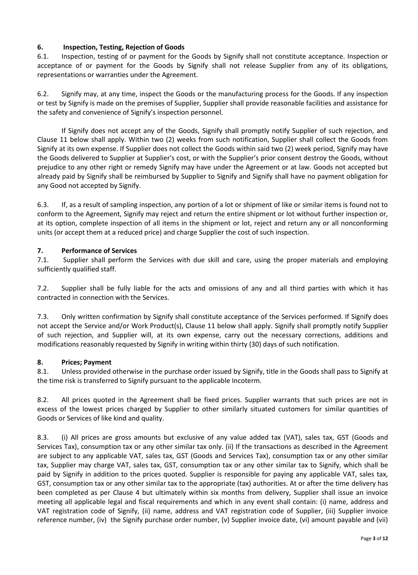## **6. Inspection, Testing, Rejection of Goods**

6.1. Inspection, testing of or payment for the Goods by Signify shall not constitute acceptance. Inspection or acceptance of or payment for the Goods by Signify shall not release Supplier from any of its obligations, representations or warranties under the Agreement.

6.2. Signify may, at any time, inspect the Goods or the manufacturing process for the Goods. If any inspection or test by Signify is made on the premises of Supplier, Supplier shall provide reasonable facilities and assistance for the safety and convenience of Signify's inspection personnel.

If Signify does not accept any of the Goods, Signify shall promptly notify Supplier of such rejection, and Clause 11 below shall apply. Within two (2) weeks from such notification, Supplier shall collect the Goods from Signify at its own expense. If Supplier does not collect the Goods within said two (2) week period, Signify may have the Goods delivered to Supplier at Supplier's cost, or with the Supplier's prior consent destroy the Goods, without prejudice to any other right or remedy Signify may have under the Agreement or at law. Goods not accepted but already paid by Signify shall be reimbursed by Supplier to Signify and Signify shall have no payment obligation for any Good not accepted by Signify.

6.3. If, as a result of sampling inspection, any portion of a lot or shipment of like or similar items is found not to conform to the Agreement, Signify may reject and return the entire shipment or lot without further inspection or, at its option, complete inspection of all items in the shipment or lot, reject and return any or all nonconforming units (or accept them at a reduced price) and charge Supplier the cost of such inspection.

## **7. Performance of Services**

7.1. Supplier shall perform the Services with due skill and care, using the proper materials and employing sufficiently qualified staff.

7.2. Supplier shall be fully liable for the acts and omissions of any and all third parties with which it has contracted in connection with the Services.

7.3. Only written confirmation by Signify shall constitute acceptance of the Services performed. If Signify does not accept the Service and/or Work Product(s), Clause 11 below shall apply. Signify shall promptly notify Supplier of such rejection, and Supplier will, at its own expense, carry out the necessary corrections, additions and modifications reasonably requested by Signify in writing within thirty (30) days of such notification.

#### **8. Prices; Payment**

8.1. Unless provided otherwise in the purchase order issued by Signify, title in the Goods shall pass to Signify at the time risk is transferred to Signify pursuant to the applicable Incoterm.

8.2. All prices quoted in the Agreement shall be fixed prices. Supplier warrants that such prices are not in excess of the lowest prices charged by Supplier to other similarly situated customers for similar quantities of Goods or Services of like kind and quality.

8.3. (i) All prices are gross amounts but exclusive of any value added tax (VAT), sales tax, GST (Goods and Services Tax), consumption tax or any other similar tax only. (ii) If the transactions as described in the Agreement are subject to any applicable VAT, sales tax, GST (Goods and Services Tax), consumption tax or any other similar tax, Supplier may charge VAT, sales tax, GST, consumption tax or any other similar tax to Signify, which shall be paid by Signify in addition to the prices quoted. Supplier is responsible for paying any applicable VAT, sales tax, GST, consumption tax or any other similar tax to the appropriate (tax) authorities. At or after the time delivery has been completed as per Clause 4 but ultimately within six months from delivery, Supplier shall issue an invoice meeting all applicable legal and fiscal requirements and which in any event shall contain: (i) name, address and VAT registration code of Signify, (ii) name, address and VAT registration code of Supplier, (iii) Supplier invoice reference number, (iv) the Signify purchase order number, (v) Supplier invoice date, (vi) amount payable and (vii)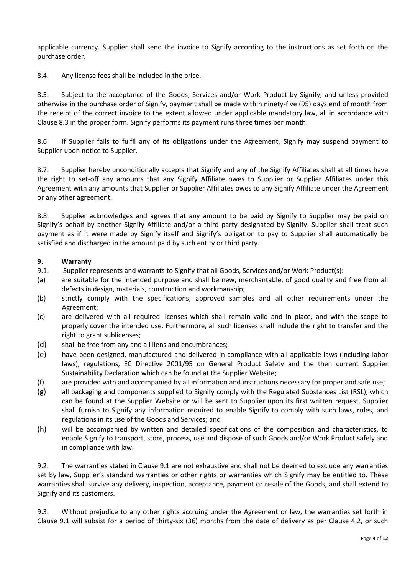applicable currency. Supplier shall send the invoice to Signify according to the instructions as set forth on the purchase order.

8.4. Any license fees shall be included in the price.

8.5. Subject to the acceptance of the Goods, Services and/or Work Product by Signify, and unless provided otherwise in the purchase order of Signify, payment shall be made within ninety-five (95) days end of month from the receipt of the correct invoice to the extent allowed under applicable mandatory law, all in accordance with Clause 8.3 in the proper form. Signify performs its payment runs three times per month.

8.6 If Supplier fails to fulfil any of its obligations under the Agreement, Signify may suspend payment to Supplier upon notice to Supplier.

8.7. Supplier hereby unconditionally accepts that Signify and any of the Signify Affiliates shall at all times have the right to set-off any amounts that any Signify Affiliate owes to Supplier or Supplier Affiliates under this Agreement with any amounts that Supplier or Supplier Affiliates owes to any Signify Affiliate under the Agreement or any other agreement.

8.8. Supplier acknowledges and agrees that any amount to be paid by Signify to Supplier may be paid on Signify's behalf by another Signify Affiliate and/or a third party designated by Signify. Supplier shall treat such payment as if it were made by Signify itself and Signify's obligation to pay to Supplier shall automatically be satisfied and discharged in the amount paid by such entity or third party.

### **9. Warranty**

- 9.1. Supplier represents and warrants to Signify that all Goods, Services and/or Work Product(s):
- (a) are suitable for the intended purpose and shall be new, merchantable, of good quality and free from all defects in design, materials, construction and workmanship;
- (b) strictly comply with the specifications, approved samples and all other requirements under the Agreement;
- (c) are delivered with all required licenses which shall remain valid and in place, and with the scope to properly cover the intended use. Furthermore, all such licenses shall include the right to transfer and the right to grant sublicenses;
- (d) shall be free from any and all liens and encumbrances;
- (e) have been designed, manufactured and delivered in compliance with all applicable laws (including labor laws), regulations, EC Directive 2001/95 on General Product Safety and the then current Supplier Sustainability Declaration which can be found at the Supplier Website;
- (f) are provided with and accompanied by all information and instructions necessary for proper and safe use;
- (g) all packaging and components supplied to Signify comply with the Regulated Substances List (RSL), which can be found at the Supplier Website or will be sent to Supplier upon its first written request. Supplier shall furnish to Signify any information required to enable Signify to comply with such laws, rules, and regulations in its use of the Goods and Services; and
- (h) will be accompanied by written and detailed specifications of the composition and characteristics, to enable Signify to transport, store, process, use and dispose of such Goods and/or Work Product safely and in compliance with law.

9.2. The warranties stated in Clause 9.1 are not exhaustive and shall not be deemed to exclude any warranties set by law, Supplier's standard warranties or other rights or warranties which Signify may be entitled to. These warranties shall survive any delivery, inspection, acceptance, payment or resale of the Goods, and shall extend to Signify and its customers.

9.3. Without prejudice to any other rights accruing under the Agreement or law, the warranties set forth in Clause 9.1 will subsist for a period of thirty-six (36) months from the date of delivery as per Clause 4.2, or such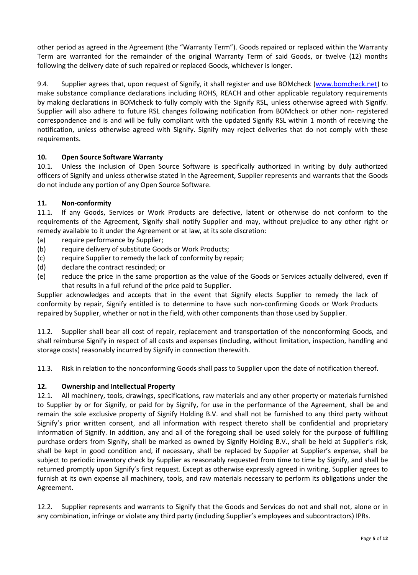other period as agreed in the Agreement (the "Warranty Term"). Goods repaired or replaced within the Warranty Term are warranted for the remainder of the original Warranty Term of said Goods, or twelve (12) months following the delivery date of such repaired or replaced Goods, whichever is longer.

9.4. Supplier agrees that, upon request of Signify, it shall register and use BOMcheck [\(www.bomcheck.net\)](http://www.bomcheck.net)/) to make substance compliance declarations including ROHS, REACH and other applicable regulatory requirements by making declarations in BOMcheck to fully comply with the Signify RSL, unless otherwise agreed with Signify. Supplier will also adhere to future RSL changes following notification from BOMcheck or other non- registered correspondence and is and will be fully compliant with the updated Signify RSL within 1 month of receiving the notification, unless otherwise agreed with Signify. Signify may reject deliveries that do not comply with these requirements.

### **10. Open Source Software Warranty**

10.1. Unless the inclusion of Open Source Software is specifically authorized in writing by duly authorized officers of Signify and unless otherwise stated in the Agreement, Supplier represents and warrants that the Goods do not include any portion of any Open Source Software.

### **11. Non-conformity**

11.1. If any Goods, Services or Work Products are defective, latent or otherwise do not conform to the requirements of the Agreement, Signify shall notify Supplier and may, without prejudice to any other right or remedy available to it under the Agreement or at law, at its sole discretion:

- (a) require performance by Supplier;
- (b) require delivery of substitute Goods or Work Products;
- (c) require Supplier to remedy the lack of conformity by repair;
- (d) declare the contract rescinded; or
- (e) reduce the price in the same proportion as the value of the Goods or Services actually delivered, even if that results in a full refund of the price paid to Supplier.

Supplier acknowledges and accepts that in the event that Signify elects Supplier to remedy the lack of conformity by repair, Signify entitled is to determine to have such non-confirming Goods or Work Products repaired by Supplier, whether or not in the field, with other components than those used by Supplier.

11.2. Supplier shall bear all cost of repair, replacement and transportation of the nonconforming Goods, and shall reimburse Signify in respect of all costs and expenses (including, without limitation, inspection, handling and storage costs) reasonably incurred by Signify in connection therewith.

11.3. Risk in relation to the nonconforming Goods shall pass to Supplier upon the date of notification thereof.

#### **12. Ownership and Intellectual Property**

12.1. All machinery, tools, drawings, specifications, raw materials and any other property or materials furnished to Supplier by or for Signify, or paid for by Signify, for use in the performance of the Agreement, shall be and remain the sole exclusive property of Signify Holding B.V. and shall not be furnished to any third party without Signify's prior written consent, and all information with respect thereto shall be confidential and proprietary information of Signify. In addition, any and all of the foregoing shall be used solely for the purpose of fulfilling purchase orders from Signify, shall be marked as owned by Signify Holding B.V., shall be held at Supplier's risk, shall be kept in good condition and, if necessary, shall be replaced by Supplier at Supplier's expense, shall be subject to periodic inventory check by Supplier as reasonably requested from time to time by Signify, and shall be returned promptly upon Signify's first request. Except as otherwise expressly agreed in writing, Supplier agrees to furnish at its own expense all machinery, tools, and raw materials necessary to perform its obligations under the Agreement.

12.2. Supplier represents and warrants to Signify that the Goods and Services do not and shall not, alone or in any combination, infringe or violate any third party (including Supplier's employees and subcontractors) IPRs.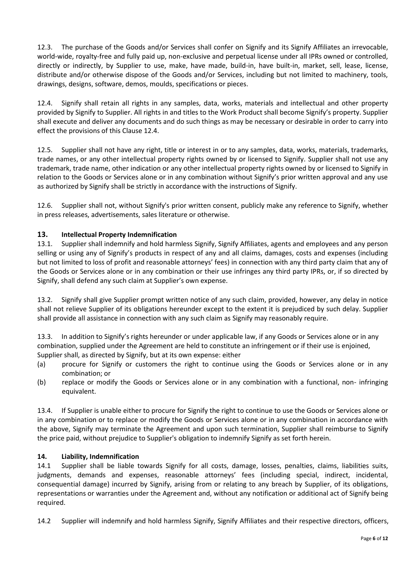12.3. The purchase of the Goods and/or Services shall confer on Signify and its Signify Affiliates an irrevocable, world-wide, royalty-free and fully paid up, non-exclusive and perpetual license under all IPRs owned or controlled, directly or indirectly, by Supplier to use, make, have made, build-in, have built-in, market, sell, lease, license, distribute and/or otherwise dispose of the Goods and/or Services, including but not limited to machinery, tools, drawings, designs, software, demos, moulds, specifications or pieces.

12.4. Signify shall retain all rights in any samples, data, works, materials and intellectual and other property provided by Signify to Supplier. All rights in and titles to the Work Product shall become Signify's property. Supplier shall execute and deliver any documents and do such things as may be necessary or desirable in order to carry into effect the provisions of this Clause 12.4.

12.5. Supplier shall not have any right, title or interest in or to any samples, data, works, materials, trademarks, trade names, or any other intellectual property rights owned by or licensed to Signify. Supplier shall not use any trademark, trade name, other indication or any other intellectual property rights owned by or licensed to Signify in relation to the Goods or Services alone or in any combination without Signify's prior written approval and any use as authorized by Signify shall be strictly in accordance with the instructions of Signify.

12.6. Supplier shall not, without Signify's prior written consent, publicly make any reference to Signify, whether in press releases, advertisements, sales literature or otherwise.

# **13. Intellectual Property Indemnification**

13.1. Supplier shall indemnify and hold harmless Signify, Signify Affiliates, agents and employees and any person selling or using any of Signify's products in respect of any and all claims, damages, costs and expenses (including but not limited to loss of profit and reasonable attorneys' fees) in connection with any third party claim that any of the Goods or Services alone or in any combination or their use infringes any third party IPRs, or, if so directed by Signify, shall defend any such claim at Supplier's own expense.

13.2. Signify shall give Supplier prompt written notice of any such claim, provided, however, any delay in notice shall not relieve Supplier of its obligations hereunder except to the extent it is prejudiced by such delay. Supplier shall provide all assistance in connection with any such claim as Signify may reasonably require.

13.3. In addition to Signify's rights hereunder or under applicable law, if any Goods or Services alone or in any combination, supplied under the Agreement are held to constitute an infringement or if their use is enjoined, Supplier shall, as directed by Signify, but at its own expense: either

- (a) procure for Signify or customers the right to continue using the Goods or Services alone or in any combination; or
- (b) replace or modify the Goods or Services alone or in any combination with a functional, non- infringing equivalent.

13.4. If Supplier is unable either to procure for Signify the right to continue to use the Goods or Services alone or in any combination or to replace or modify the Goods or Services alone or in any combination in accordance with the above, Signify may terminate the Agreement and upon such termination, Supplier shall reimburse to Signify the price paid, without prejudice to Supplier's obligation to indemnify Signify as set forth herein.

#### **14. Liability, Indemnification**

14.1 Supplier shall be liable towards Signify for all costs, damage, losses, penalties, claims, liabilities suits, judgments, demands and expenses, reasonable attorneys' fees (including special, indirect, incidental, consequential damage) incurred by Signify, arising from or relating to any breach by Supplier, of its obligations, representations or warranties under the Agreement and, without any notification or additional act of Signify being required.

14.2 Supplier will indemnify and hold harmless Signify, Signify Affiliates and their respective directors, officers,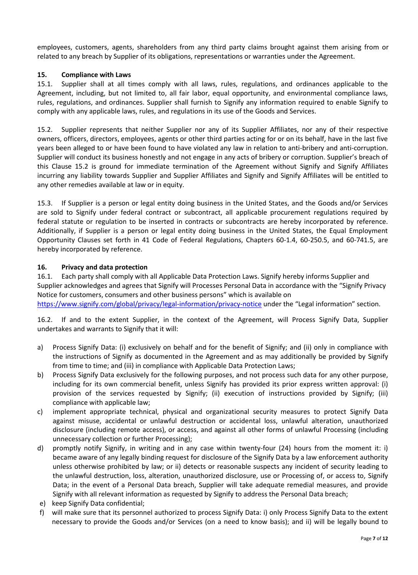employees, customers, agents, shareholders from any third party claims brought against them arising from or related to any breach by Supplier of its obligations, representations or warranties under the Agreement.

#### **15. Compliance with Laws**

15.1. Supplier shall at all times comply with all laws, rules, regulations, and ordinances applicable to the Agreement, including, but not limited to, all fair labor, equal opportunity, and environmental compliance laws, rules, regulations, and ordinances. Supplier shall furnish to Signify any information required to enable Signify to comply with any applicable laws, rules, and regulations in its use of the Goods and Services.

15.2. Supplier represents that neither Supplier nor any of its Supplier Affiliates, nor any of their respective owners, officers, directors, employees, agents or other third parties acting for or on its behalf, have in the last five years been alleged to or have been found to have violated any law in relation to anti-bribery and anti-corruption. Supplier will conduct its business honestly and not engage in any acts of bribery or corruption. Supplier's breach of this Clause 15.2 is ground for immediate termination of the Agreement without Signify and Signify Affiliates incurring any liability towards Supplier and Supplier Affiliates and Signify and Signify Affiliates will be entitled to any other remedies available at law or in equity.

15.3. If Supplier is a person or legal entity doing business in the United States, and the Goods and/or Services are sold to Signify under federal contract or subcontract, all applicable procurement regulations required by federal statute or regulation to be inserted in contracts or subcontracts are hereby incorporated by reference. Additionally, if Supplier is a person or legal entity doing business in the United States, the Equal Employment Opportunity Clauses set forth in 41 Code of Federal Regulations, Chapters 60-1.4, 60-250.5, and 60-741.5, are hereby incorporated by reference.

### **16. Privacy and data protection**

16.1. Each party shall comply with all Applicable Data Protection Laws. Signify hereby informs Supplier and Supplier acknowledges and agrees that Signify will Processes Personal Data in accordance with the "Signify Privacy Notice for customers, consumers and other business persons" which is available on <https://www.signify.com/global/privacy/legal-information/privacy-notice> under the "Legal information" section.

16.2. If and to the extent Supplier, in the context of the Agreement, will Process Signify Data, Supplier undertakes and warrants to Signify that it will:

- a) Process Signify Data: (i) exclusively on behalf and for the benefit of Signify; and (ii) only in compliance with the instructions of Signify as documented in the Agreement and as may additionally be provided by Signify from time to time; and (iii) in compliance with Applicable Data Protection Laws;
- b) Process Signify Data exclusively for the following purposes, and not process such data for any other purpose, including for its own commercial benefit, unless Signify has provided its prior express written approval: (i) provision of the services requested by Signify; (ii) execution of instructions provided by Signify; (iii) compliance with applicable law;
- c) implement appropriate technical, physical and organizational security measures to protect Signify Data against misuse, accidental or unlawful destruction or accidental loss, unlawful alteration, unauthorized disclosure (including remote access), or access, and against all other forms of unlawful Processing (including unnecessary collection or further Processing);
- d) promptly notify Signify, in writing and in any case within twenty-four (24) hours from the moment it: i) became aware of any legally binding request for disclosure of the Signify Data by a law enforcement authority unless otherwise prohibited by law; or ii) detects or reasonable suspects any incident of security leading to the unlawful destruction, loss, alteration, unauthorized disclosure, use or Processing of, or access to, Signify Data; in the event of a Personal Data breach, Supplier will take adequate remedial measures, and provide Signify with all relevant information as requested by Signify to address the Personal Data breach;
- e) keep Signify Data confidential;
- f) will make sure that its personnel authorized to process Signify Data: i) only Process Signify Data to the extent necessary to provide the Goods and/or Services (on a need to know basis); and ii) will be legally bound to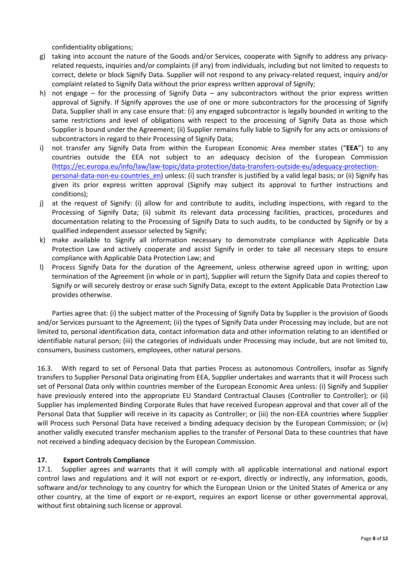confidentiality obligations;

- g) taking into account the nature of the Goods and/or Services, cooperate with Signify to address any privacyrelated requests, inquiries and/or complaints (if any) from individuals, including but not limited to requests to correct, delete or block Signify Data. Supplier will not respond to any privacy-related request, inquiry and/or complaint related to Signify Data without the prior express written approval of Signify;
- h) not engage for the processing of Signify Data any subcontractors without the prior express written approval of Signify. If Signify approves the use of one or more subcontractors for the processing of Signify Data, Supplier shall in any case ensure that: (i) any engaged subcontractor is legally bounded in writing to the same restrictions and level of obligations with respect to the processing of Signify Data as those which Supplier is bound under the Agreement; (ii) Supplier remains fully liable to Signify for any acts or omissions of subcontractors in regard to their Processing of Signify Data;
- i) not transfer any Signify Data from within the European Economic Area member states ("**EEA**") to any countries outside the EEA not subject to an adequacy decision of the European Commission [\(https://ec.europa.eu/info/law/law-topic/data-protection/data-transfers-outside-eu/adequacy-protection](https://ec.europa.eu/info/law/law-topic/data-protection/data-transfers-outside-eu/adequacy-protection-personal-data-non-eu-countries_en)[personal-data-non-eu-countries\\_en\)](https://ec.europa.eu/info/law/law-topic/data-protection/data-transfers-outside-eu/adequacy-protection-personal-data-non-eu-countries_en) unless: (i) such transfer is justified by a valid legal basis; or (ii) Signify has given its prior express written approval (Signify may subject its approval to further instructions and conditions);
- j) at the request of Signify: (i) allow for and contribute to audits, including inspections, with regard to the Processing of Signify Data; (ii) submit its relevant data processing facilities, practices, procedures and documentation relating to the Processing of Signify Data to such audits, to be conducted by Signify or by a qualified independent assessor selected by Signify;
- k) make available to Signify all information necessary to demonstrate compliance with Applicable Data Protection Law and actively cooperate and assist Signify in order to take all necessary steps to ensure compliance with Applicable Data Protection Law; and
- l) Process Signify Data for the duration of the Agreement, unless otherwise agreed upon in writing; upon termination of the Agreement (in whole or in part), Supplier will return the Signify Data and copies thereof to Signify or will securely destroy or erase such Signify Data, except to the extent Applicable Data Protection Law provides otherwise.

Parties agree that: (i) the subject matter of the Processing of Signify Data by Supplier is the provision of Goods and/or Services pursuant to the Agreement; (ii) the types of Signify Data under Processing may include, but are not limited to, personal identification data, contact information data and other information relating to an identified or identifiable natural person; (iii) the categories of individuals under Processing may include, but are not limited to, consumers, business customers, employees, other natural persons.

16.3. With regard to set of Personal Data that parties Process as autonomous Controllers, insofar as Signify transfers to Supplier Personal Data originating from EEA, Supplier undertakes and warrants that it will Process such set of Personal Data only within countries member of the European Economic Area unless: (i) Signify and Supplier have previously entered into the appropriate EU Standard Contractual Clauses (Controller to Controller); or (ii) Supplier has implemented Binding Corporate Rules that have received European approval and that cover all of the Personal Data that Supplier will receive in its capacity as Controller; or (iii) the non-EEA countries where Supplier will Process such Personal Data have received a binding adequacy decision by the European Commission; or (iv) another validly executed transfer mechanism applies to the transfer of Personal Data to these countries that have not received a binding adequacy decision by the European Commission.

## **17. Export Controls Compliance**

17.1. Supplier agrees and warrants that it will comply with all applicable international and national export control laws and regulations and it will not export or re-export, directly or indirectly, any information, goods, software and/or technology to any country for which the European Union or the United States of America or any other country, at the time of export or re-export, requires an export license or other governmental approval, without first obtaining such license or approval.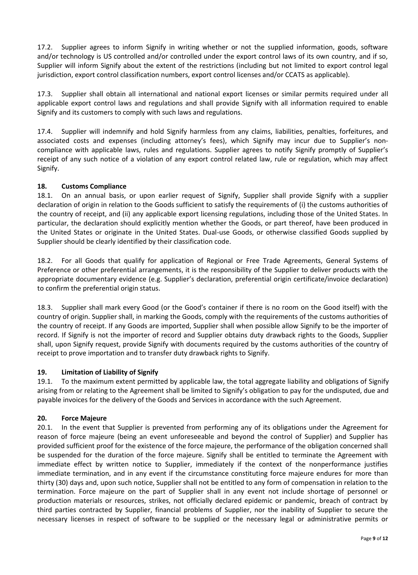17.2. Supplier agrees to inform Signify in writing whether or not the supplied information, goods, software and/or technology is US controlled and/or controlled under the export control laws of its own country, and if so, Supplier will inform Signify about the extent of the restrictions (including but not limited to export control legal jurisdiction, export control classification numbers, export control licenses and/or CCATS as applicable).

17.3. Supplier shall obtain all international and national export licenses or similar permits required under all applicable export control laws and regulations and shall provide Signify with all information required to enable Signify and its customers to comply with such laws and regulations.

17.4. Supplier will indemnify and hold Signify harmless from any claims, liabilities, penalties, forfeitures, and associated costs and expenses (including attorney's fees), which Signify may incur due to Supplier's noncompliance with applicable laws, rules and regulations. Supplier agrees to notify Signify promptly of Supplier's receipt of any such notice of a violation of any export control related law, rule or regulation, which may affect Signify.

## **18. Customs Compliance**

18.1. On an annual basis, or upon earlier request of Signify, Supplier shall provide Signify with a supplier declaration of origin in relation to the Goods sufficient to satisfy the requirements of (i) the customs authorities of the country of receipt, and (ii) any applicable export licensing regulations, including those of the United States. In particular, the declaration should explicitly mention whether the Goods, or part thereof, have been produced in the United States or originate in the United States. Dual-use Goods, or otherwise classified Goods supplied by Supplier should be clearly identified by their classification code.

18.2. For all Goods that qualify for application of Regional or Free Trade Agreements, General Systems of Preference or other preferential arrangements, it is the responsibility of the Supplier to deliver products with the appropriate documentary evidence (e.g. Supplier's declaration, preferential origin certificate/invoice declaration) to confirm the preferential origin status.

18.3. Supplier shall mark every Good (or the Good's container if there is no room on the Good itself) with the country of origin. Supplier shall, in marking the Goods, comply with the requirements of the customs authorities of the country of receipt. If any Goods are imported, Supplier shall when possible allow Signify to be the importer of record. If Signify is not the importer of record and Supplier obtains duty drawback rights to the Goods, Supplier shall, upon Signify request, provide Signify with documents required by the customs authorities of the country of receipt to prove importation and to transfer duty drawback rights to Signify.

#### **19. Limitation of Liability of Signify**

19.1. To the maximum extent permitted by applicable law, the total aggregate liability and obligations of Signify arising from or relating to the Agreement shall be limited to Signify's obligation to pay for the undisputed, due and payable invoices for the delivery of the Goods and Services in accordance with the such Agreement.

## **20. Force Majeure**

20.1. In the event that Supplier is prevented from performing any of its obligations under the Agreement for reason of force majeure (being an event unforeseeable and beyond the control of Supplier) and Supplier has provided sufficient proof for the existence of the force majeure, the performance of the obligation concerned shall be suspended for the duration of the force majeure. Signify shall be entitled to terminate the Agreement with immediate effect by written notice to Supplier, immediately if the context of the nonperformance justifies immediate termination, and in any event if the circumstance constituting force majeure endures for more than thirty (30) days and, upon such notice, Supplier shall not be entitled to any form of compensation in relation to the termination. Force majeure on the part of Supplier shall in any event not include shortage of personnel or production materials or resources, strikes, not officially declared epidemic or pandemic, breach of contract by third parties contracted by Supplier, financial problems of Supplier, nor the inability of Supplier to secure the necessary licenses in respect of software to be supplied or the necessary legal or administrative permits or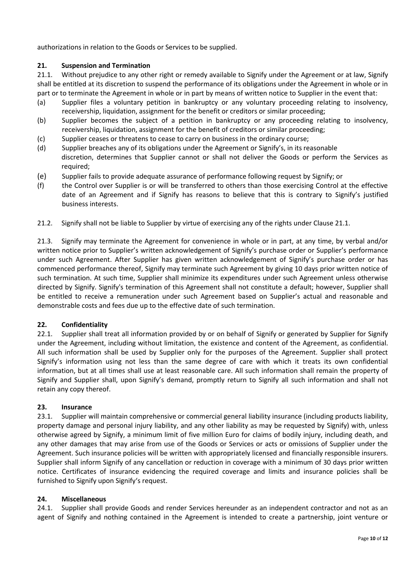authorizations in relation to the Goods or Services to be supplied.

### **21. Suspension and Termination**

21.1. Without prejudice to any other right or remedy available to Signify under the Agreement or at law, Signify shall be entitled at its discretion to suspend the performance of its obligations under the Agreement in whole or in part or to terminate the Agreement in whole or in part by means of written notice to Supplier in the event that:

- (a) Supplier files a voluntary petition in bankruptcy or any voluntary proceeding relating to insolvency, receivership, liquidation, assignment for the benefit or creditors or similar proceeding;
- (b) Supplier becomes the subject of a petition in bankruptcy or any proceeding relating to insolvency, receivership, liquidation, assignment for the benefit of creditors or similar proceeding;
- (c) Supplier ceases or threatens to cease to carry on business in the ordinary course;
- (d) Supplier breaches any of its obligations under the Agreement or Signify's, in its reasonable discretion, determines that Supplier cannot or shall not deliver the Goods or perform the Services as required;
- (e) Supplier fails to provide adequate assurance of performance following request by Signify; or
- (f) the Control over Supplier is or will be transferred to others than those exercising Control at the effective date of an Agreement and if Signify has reasons to believe that this is contrary to Signify's justified business interests.
- 21.2. Signify shall not be liable to Supplier by virtue of exercising any of the rights under Clause 21.1.

21.3. Signify may terminate the Agreement for convenience in whole or in part, at any time, by verbal and/or written notice prior to Supplier's written acknowledgement of Signify's purchase order or Supplier's performance under such Agreement. After Supplier has given written acknowledgement of Signify's purchase order or has commenced performance thereof, Signify may terminate such Agreement by giving 10 days prior written notice of such termination. At such time, Supplier shall minimize its expenditures under such Agreement unless otherwise directed by Signify. Signify's termination of this Agreement shall not constitute a default; however, Supplier shall be entitled to receive a remuneration under such Agreement based on Supplier's actual and reasonable and demonstrable costs and fees due up to the effective date of such termination.

## **22. Confidentiality**

22.1. Supplier shall treat all information provided by or on behalf of Signify or generated by Supplier for Signify under the Agreement, including without limitation, the existence and content of the Agreement, as confidential. All such information shall be used by Supplier only for the purposes of the Agreement. Supplier shall protect Signify's information using not less than the same degree of care with which it treats its own confidential information, but at all times shall use at least reasonable care. All such information shall remain the property of Signify and Supplier shall, upon Signify's demand, promptly return to Signify all such information and shall not retain any copy thereof.

#### **23. Insurance**

23.1. Supplier will maintain comprehensive or commercial general liability insurance (including products liability, property damage and personal injury liability, and any other liability as may be requested by Signify) with, unless otherwise agreed by Signify, a minimum limit of five million Euro for claims of bodily injury, including death, and any other damages that may arise from use of the Goods or Services or acts or omissions of Supplier under the Agreement. Such insurance policies will be written with appropriately licensed and financially responsible insurers. Supplier shall inform Signify of any cancellation or reduction in coverage with a minimum of 30 days prior written notice. Certificates of insurance evidencing the required coverage and limits and insurance policies shall be furnished to Signify upon Signify's request.

#### **24. Miscellaneous**

24.1. Supplier shall provide Goods and render Services hereunder as an independent contractor and not as an agent of Signify and nothing contained in the Agreement is intended to create a partnership, joint venture or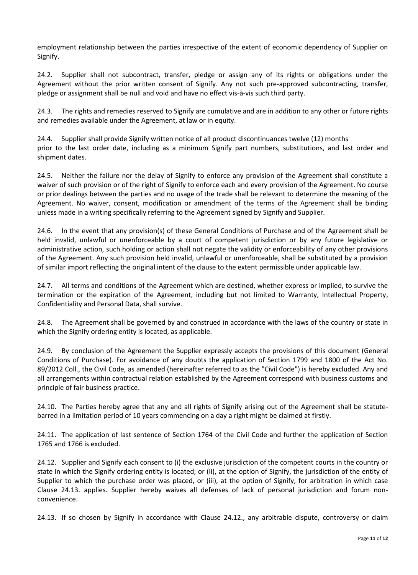employment relationship between the parties irrespective of the extent of economic dependency of Supplier on Signify.

24.2. Supplier shall not subcontract, transfer, pledge or assign any of its rights or obligations under the Agreement without the prior written consent of Signify. Any not such pre-approved subcontracting, transfer, pledge or assignment shall be null and void and have no effect vis-à-vis such third party.

24.3. The rights and remedies reserved to Signify are cumulative and are in addition to any other or future rights and remedies available under the Agreement, at law or in equity.

24.4. Supplier shall provide Signify written notice of all product discontinuances twelve (12) months prior to the last order date, including as a minimum Signify part numbers, substitutions, and last order and shipment dates.

24.5. Neither the failure nor the delay of Signify to enforce any provision of the Agreement shall constitute a waiver of such provision or of the right of Signify to enforce each and every provision of the Agreement. No course or prior dealings between the parties and no usage of the trade shall be relevant to determine the meaning of the Agreement. No waiver, consent, modification or amendment of the terms of the Agreement shall be binding unless made in a writing specifically referring to the Agreement signed by Signify and Supplier.

24.6. In the event that any provision(s) of these General Conditions of Purchase and of the Agreement shall be held invalid, unlawful or unenforceable by a court of competent jurisdiction or by any future legislative or administrative action, such holding or action shall not negate the validity or enforceability of any other provisions of the Agreement. Any such provision held invalid, unlawful or unenforceable, shall be substituted by a provision of similar import reflecting the original intent of the clause to the extent permissible under applicable law.

24.7. All terms and conditions of the Agreement which are destined, whether express or implied, to survive the termination or the expiration of the Agreement, including but not limited to Warranty, Intellectual Property, Confidentiality and Personal Data, shall survive.

24.8. The Agreement shall be governed by and construed in accordance with the laws of the country or state in which the Signify ordering entity is located, as applicable.

24.9. By conclusion of the Agreement the Supplier expressly accepts the provisions of this document (General Conditions of Purchase). For avoidance of any doubts the application of Section 1799 and 1800 of the Act No. 89/2012 Coll., the Civil Code, as amended (hereinafter referred to as the "Civil Code") is hereby excluded. Any and all arrangements within contractual relation established by the Agreement correspond with business customs and principle of fair business practice.

24.10. The Parties hereby agree that any and all rights of Signify arising out of the Agreement shall be statutebarred in a limitation period of 10 years commencing on a day a right might be claimed at firstly.

24.11. The application of last sentence of Section 1764 of the Civil Code and further the application of Section 1765 and 1766 is excluded.

24.12. Supplier and Signify each consent to (i) the exclusive jurisdiction of the competent courts in the country or state in which the Signify ordering entity is located; or (ii), at the option of Signify, the jurisdiction of the entity of Supplier to which the purchase order was placed, or (iii), at the option of Signify, for arbitration in which case Clause 24.13. applies. Supplier hereby waives all defenses of lack of personal jurisdiction and forum nonconvenience.

24.13. If so chosen by Signify in accordance with Clause 24.12., any arbitrable dispute, controversy or claim